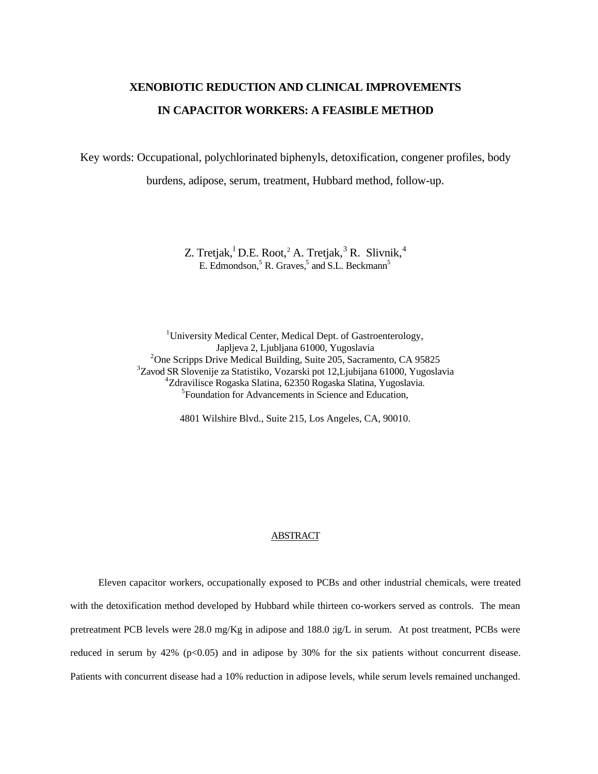# **XENOBIOTIC REDUCTION AND CLINICAL IMPROVEMENTS IN CAPACITOR WORKERS: A FEASIBLE METHOD**

Key words: Occupational, polychlorinated biphenyls, detoxification, congener profiles, body

burdens, adipose, serum, treatment, Hubbard method, follow-up.

Z. Tretjak, <sup>1</sup> D.E. Root, <sup>2</sup> A. Tretjak, <sup>3</sup> R. Slivnik, <sup>4</sup> E. Edmondson,<sup>5</sup> R. Graves,<sup>5</sup> and S.L. Beckmann<sup>5</sup>

<sup>1</sup>University Medical Center, Medical Dept. of Gastroenterology, Japljeva 2, Ljubljana 61000, Yugoslavia One Scripps Drive Medical Building, Suite 205, Sacramento, CA 95825 Zavod SR Slovenije za Statistiko, Vozarski pot 12,Ljubijana 61000, Yugoslavia Zdravilisce Rogaska Slatina, 62350 Rogaska Slatina, Yugoslavia. Foundation for Advancements in Science and Education,

4801 Wilshire Blvd., Suite 215, Los Angeles, CA, 90010.

# **ABSTRACT**

Eleven capacitor workers, occupationally exposed to PCBs and other industrial chemicals, were treated with the detoxification method developed by Hubbard while thirteen co-workers served as controls. The mean pretreatment PCB levels were 28.0 mg/Kg in adipose and 188.0 ;ig/L in serum. At post treatment, PCBs were reduced in serum by  $42\%$  (p<0.05) and in adipose by 30% for the six patients without concurrent disease. Patients with concurrent disease had a 10% reduction in adipose levels, while serum levels remained unchanged.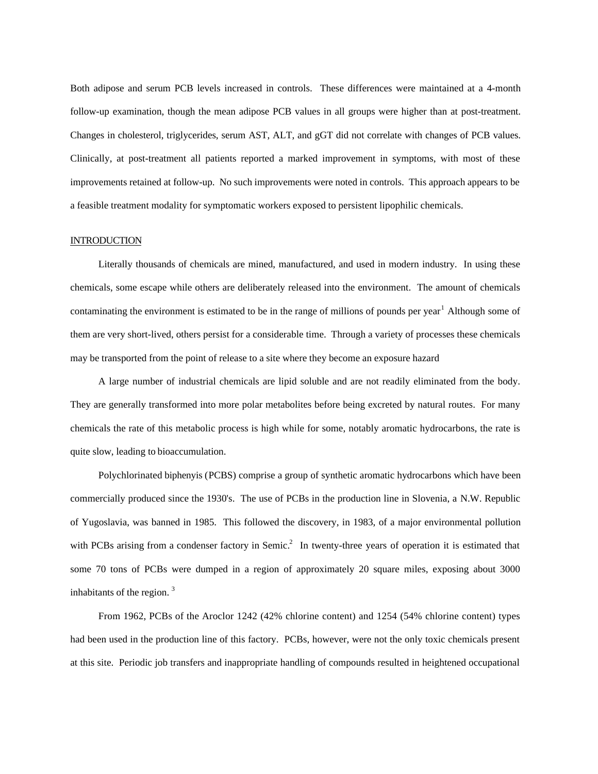Both adipose and serum PCB levels increased in controls. These differences were maintained at a 4-month follow-up examination, though the mean adipose PCB values in all groups were higher than at post-treatment. Changes in cholesterol, triglycerides, serum AST, ALT, and gGT did not correlate with changes of PCB values. Clinically, at post-treatment all patients reported a marked improvement in symptoms, with most of these improvements retained at follow-up. No such improvements were noted in controls. This approach appears to be a feasible treatment modality for symptomatic workers exposed to persistent lipophilic chemicals.

# **INTRODUCTION**

Literally thousands of chemicals are mined, manufactured, and used in modern industry. In using these chemicals, some escape while others are deliberately released into the environment. The amount of chemicals contaminating the environment is estimated to be in the range of millions of pounds per year<sup>1</sup> Although some of them are very short-lived, others persist for a considerable time. Through a variety of processes these chemicals may be transported from the point of release to a site where they become an exposure hazard

A large number of industrial chemicals are lipid soluble and are not readily eliminated from the body. They are generally transformed into more polar metabolites before being excreted by natural routes. For many chemicals the rate of this metabolic process is high while for some, notably aromatic hydrocarbons, the rate is quite slow, leading to bioaccumulation.

Polychlorinated biphenyis (PCBS) comprise a group of synthetic aromatic hydrocarbons which have been commercially produced since the 1930's. The use of PCBs in the production line in Slovenia, a N.W. Republic of Yugoslavia, was banned in 1985. This followed the discovery, in 1983, of a major environmental pollution with PCBs arising from a condenser factory in Semic.<sup>2</sup> In twenty-three years of operation it is estimated that some 70 tons of PCBs were dumped in a region of approximately 20 square miles, exposing about 3000 inhabitants of the region.  $3$ 

From 1962, PCBs of the Aroclor 1242 (42% chlorine content) and 1254 (54% chlorine content) types had been used in the production line of this factory. PCBs, however, were not the only toxic chemicals present at this site. Periodic job transfers and inappropriate handling of compounds resulted in heightened occupational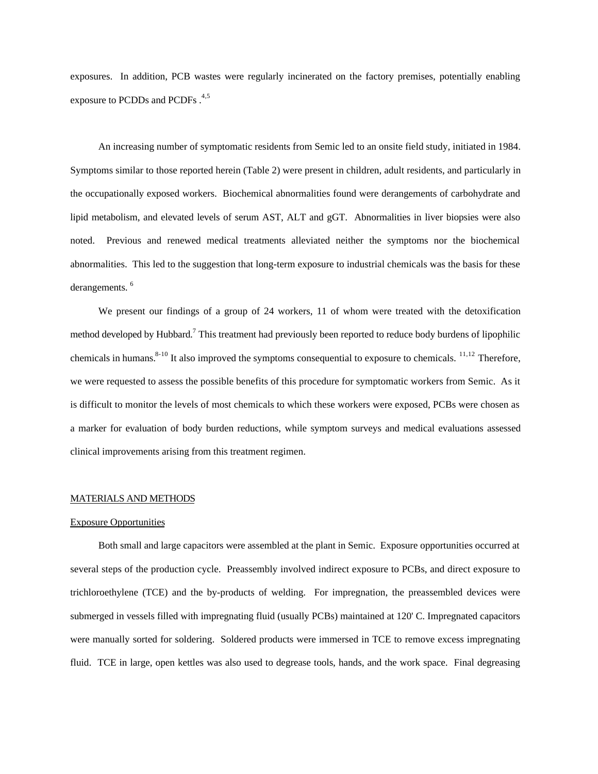exposures. In addition, PCB wastes were regularly incinerated on the factory premises, potentially enabling exposure to PCDDs and PCDFs.<sup>4,5</sup>

An increasing number of symptomatic residents from Semic led to an onsite field study, initiated in 1984. Symptoms similar to those reported herein (Table 2) were present in children, adult residents, and particularly in the occupationally exposed workers. Biochemical abnormalities found were derangements of carbohydrate and lipid metabolism, and elevated levels of serum AST, ALT and gGT. Abnormalities in liver biopsies were also noted. Previous and renewed medical treatments alleviated neither the symptoms nor the biochemical abnormalities. This led to the suggestion that long-term exposure to industrial chemicals was the basis for these derangements.<sup>6</sup>

We present our findings of a group of 24 workers, 11 of whom were treated with the detoxification method developed by Hubbard.<sup>7</sup> This treatment had previously been reported to reduce body burdens of lipophilic chemicals in humans.<sup>8-10</sup> It also improved the symptoms consequential to exposure to chemicals.  $11,12$  Therefore, we were requested to assess the possible benefits of this procedure for symptomatic workers from Semic. As it is difficult to monitor the levels of most chemicals to which these workers were exposed, PCBs were chosen as a marker for evaluation of body burden reductions, while symptom surveys and medical evaluations assessed clinical improvements arising from this treatment regimen.

# MATERIALS AND METHODS

# Exposure Opportunities

Both small and large capacitors were assembled at the plant in Semic. Exposure opportunities occurred at several steps of the production cycle. Preassembly involved indirect exposure to PCBs, and direct exposure to trichloroethylene (TCE) and the by-products of welding. For impregnation, the preassembled devices were submerged in vessels filled with impregnating fluid (usually PCBs) maintained at 120' C. Impregnated capacitors were manually sorted for soldering. Soldered products were immersed in TCE to remove excess impregnating fluid. TCE in large, open kettles was also used to degrease tools, hands, and the work space. Final degreasing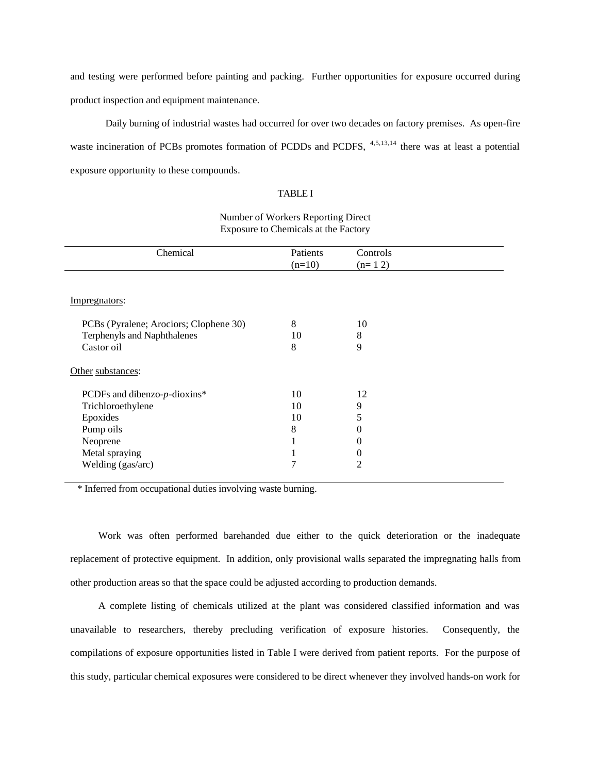and testing were performed before painting and packing. Further opportunities for exposure occurred during product inspection and equipment maintenance.

Daily burning of industrial wastes had occurred for over two decades on factory premises. As open-fire waste incineration of PCBs promotes formation of PCDDs and PCDFS, <sup>4,5,13,14</sup> there was at least a potential exposure opportunity to these compounds.

# TABLE I

| Chemical                               | Patients | Controls |  |
|----------------------------------------|----------|----------|--|
|                                        | $(n=10)$ | $(n=12)$ |  |
|                                        |          |          |  |
|                                        |          |          |  |
| Impregnators:                          |          |          |  |
|                                        |          |          |  |
| PCBs (Pyralene; Arociors; Clophene 30) | 8        | 10       |  |
| Terphenyls and Naphthalenes            | 10       | 8        |  |
| Castor oil                             | 8        | 9        |  |
|                                        |          |          |  |
| Other substances:                      |          |          |  |
|                                        |          |          |  |
| PCDFs and dibenzo- $p$ -dioxins*       | 10       | 12       |  |
| Trichloroethylene                      | 10       | 9        |  |
| Epoxides                               | 10       | 5        |  |
| Pump oils                              | 8        |          |  |
| Neoprene                               |          | 0        |  |
| Metal spraying                         |          | 0        |  |
| Welding (gas/arc)                      | 7        | 2        |  |
|                                        |          |          |  |

# Number of Workers Reporting Direct Exposure to Chemicals at the Factory

\* Inferred from occupational duties involving waste burning.

Work was often performed barehanded due either to the quick deterioration or the inadequate replacement of protective equipment. In addition, only provisional walls separated the impregnating halls from other production areas so that the space could be adjusted according to production demands.

A complete listing of chemicals utilized at the plant was considered classified information and was unavailable to researchers, thereby precluding verification of exposure histories. Consequently, the compilations of exposure opportunities listed in Table I were derived from patient reports. For the purpose of this study, particular chemical exposures were considered to be direct whenever they involved hands-on work for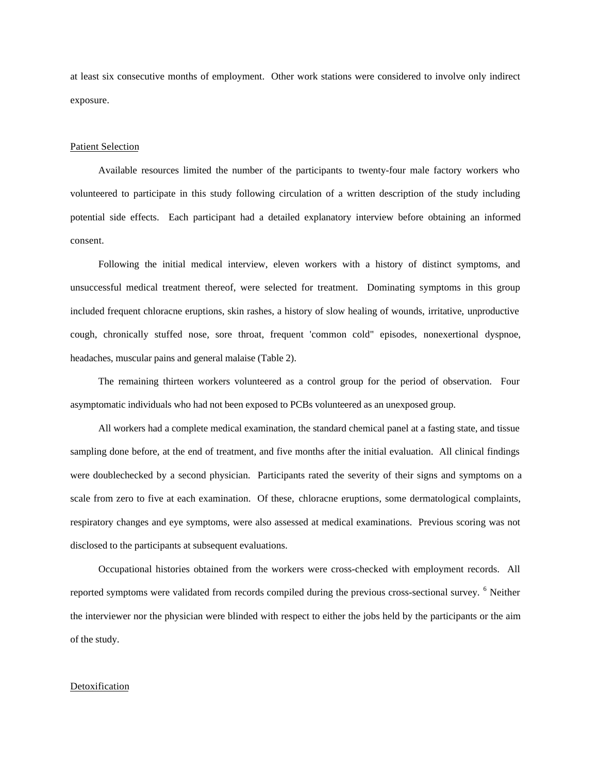at least six consecutive months of employment. Other work stations were considered to involve only indirect exposure.

#### Patient Selection

Available resources limited the number of the participants to twenty-four male factory workers who volunteered to participate in this study following circulation of a written description of the study including potential side effects. Each participant had a detailed explanatory interview before obtaining an informed consent.

Following the initial medical interview, eleven workers with a history of distinct symptoms, and unsuccessful medical treatment thereof, were selected for treatment. Dominating symptoms in this group included frequent chloracne eruptions, skin rashes, a history of slow healing of wounds, irritative, unproductive cough, chronically stuffed nose, sore throat, frequent 'common cold" episodes, nonexertional dyspnoe, headaches, muscular pains and general malaise (Table 2).

The remaining thirteen workers volunteered as a control group for the period of observation. Four asymptomatic individuals who had not been exposed to PCBs volunteered as an unexposed group.

All workers had a complete medical examination, the standard chemical panel at a fasting state, and tissue sampling done before, at the end of treatment, and five months after the initial evaluation. All clinical findings were doublechecked by a second physician. Participants rated the severity of their signs and symptoms on a scale from zero to five at each examination. Of these, chloracne eruptions, some dermatological complaints, respiratory changes and eye symptoms, were also assessed at medical examinations. Previous scoring was not disclosed to the participants at subsequent evaluations.

Occupational histories obtained from the workers were cross-checked with employment records. All reported symptoms were validated from records compiled during the previous cross-sectional survey. <sup>6</sup> Neither the interviewer nor the physician were blinded with respect to either the jobs held by the participants or the aim of the study.

### Detoxification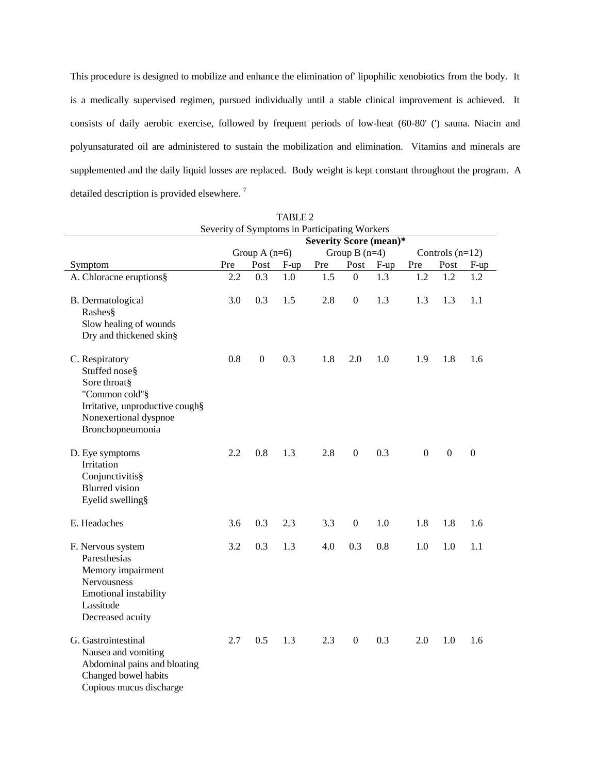This procedure is designed to mobilize and enhance the elimination of' lipophilic xenobiotics from the body. It is a medically supervised regimen, pursued individually until a stable clinical improvement is achieved. It consists of daily aerobic exercise, followed by frequent periods of low-heat (60-80' (') sauna. Niacin and polyunsaturated oil are administered to sustain the mobilization and elimination. Vitamins and minerals are supplemented and the daily liquid losses are replaced. Body weight is kept constant throughout the program. A detailed description is provided elsewhere. <sup>7</sup>

|                                                                                                                                                   |                                                                                          |                  | <b>TABLE 2</b> |                                               |                  |        |                  |                  |                |
|---------------------------------------------------------------------------------------------------------------------------------------------------|------------------------------------------------------------------------------------------|------------------|----------------|-----------------------------------------------|------------------|--------|------------------|------------------|----------------|
|                                                                                                                                                   |                                                                                          |                  |                | Severity of Symptoms in Participating Workers |                  |        |                  |                  |                |
|                                                                                                                                                   | <b>Severity Score (mean)*</b><br>Group A $(n=6)$<br>Group B $(n=4)$<br>Controls $(n=12)$ |                  |                |                                               |                  |        |                  |                  |                |
| Symptom                                                                                                                                           | Pre                                                                                      | Post             | $F-up$         | Pre                                           | Post             | $F-up$ | Pre              | Post             | $F-up$         |
| A. Chloracne eruptions §                                                                                                                          | 2.2                                                                                      | 0.3              | 1.0            | 1.5                                           | $\overline{0}$   | 1.3    | 1.2              | 1.2              | 1.2            |
| B. Dermatological<br>Rashes§<br>Slow healing of wounds<br>Dry and thickened skin§                                                                 | 3.0                                                                                      | 0.3              | 1.5            | 2.8                                           | $\mathbf{0}$     | 1.3    | 1.3              | 1.3              | 1.1            |
| C. Respiratory<br>Stuffed nose§<br>Sore throat§<br>"Common cold"§<br>Irritative, unproductive cough§<br>Nonexertional dyspnoe<br>Bronchopneumonia | 0.8                                                                                      | $\boldsymbol{0}$ | 0.3            | 1.8                                           | 2.0              | 1.0    | 1.9              | 1.8              | 1.6            |
| D. Eye symptoms<br>Irritation<br>Conjunctivitis§<br><b>Blurred</b> vision<br>Eyelid swelling§                                                     | 2.2                                                                                      | 0.8              | 1.3            | 2.8                                           | $\mathbf{0}$     | 0.3    | $\boldsymbol{0}$ | $\boldsymbol{0}$ | $\overline{0}$ |
| E. Headaches                                                                                                                                      | 3.6                                                                                      | 0.3              | 2.3            | 3.3                                           | $\boldsymbol{0}$ | 1.0    | 1.8              | 1.8              | 1.6            |
| F. Nervous system<br>Paresthesias<br>Memory impairment<br>Nervousness<br>Emotional instability<br>Lassitude<br>Decreased acuity                   | 3.2                                                                                      | 0.3              | 1.3            | 4.0                                           | 0.3              | 0.8    | 1.0              | 1.0              | 1.1            |
| G. Gastrointestinal<br>Nausea and vomiting<br>Abdominal pains and bloating<br>Changed bowel habits<br>Copious mucus discharge                     | 2.7                                                                                      | 0.5              | 1.3            | 2.3                                           | $\mathbf{0}$     | 0.3    | 2.0              | 1.0              | 1.6            |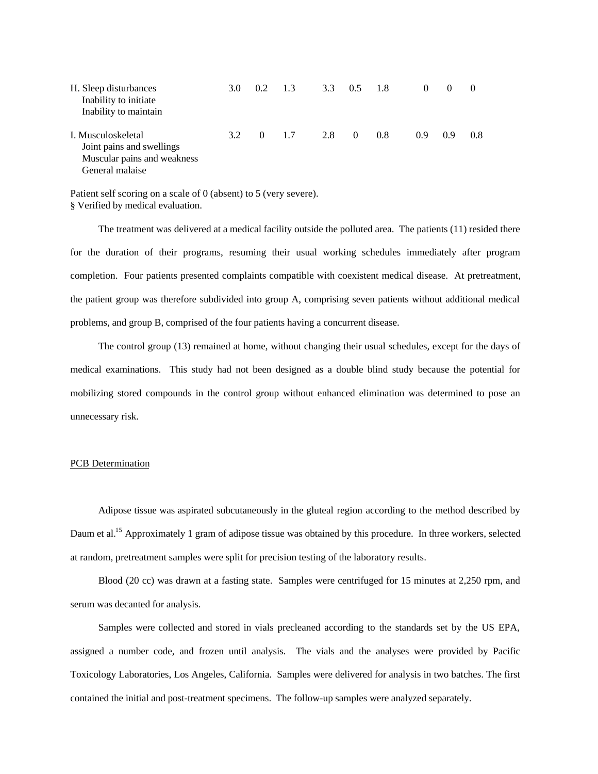| H. Sleep disturbances<br>Inability to initiate<br>Inability to maintain                           | 3.0 | 0.2      | 1.3 | 3.3 | $0.5 \t1.8$    |     | $\theta$ |     |     |
|---------------------------------------------------------------------------------------------------|-----|----------|-----|-----|----------------|-----|----------|-----|-----|
| I. Musculoskeletal<br>Joint pains and swellings<br>Muscular pains and weakness<br>General malaise | 3.2 | $\theta$ | 1.7 | 2.8 | $\overline{0}$ | 0.8 | 0.9      | 0.9 | 0.8 |

Patient self scoring on a scale of 0 (absent) to 5 (very severe). § Verified by medical evaluation.

The treatment was delivered at a medical facility outside the polluted area. The patients (11) resided there for the duration of their programs, resuming their usual working schedules immediately after program completion. Four patients presented complaints compatible with coexistent medical disease. At pretreatment, the patient group was therefore subdivided into group A, comprising seven patients without additional medical problems, and group B, comprised of the four patients having a concurrent disease.

The control group (13) remained at home, without changing their usual schedules, except for the days of medical examinations. This study had not been designed as a double blind study because the potential for mobilizing stored compounds in the control group without enhanced elimination was determined to pose an unnecessary risk.

#### PCB Determination

Adipose tissue was aspirated subcutaneously in the gluteal region according to the method described by Daum et al.<sup>15</sup> Approximately 1 gram of adipose tissue was obtained by this procedure. In three workers, selected at random, pretreatment samples were split for precision testing of the laboratory results.

Blood (20 cc) was drawn at a fasting state. Samples were centrifuged for 15 minutes at 2,250 rpm, and serum was decanted for analysis.

Samples were collected and stored in vials precleaned according to the standards set by the US EPA, assigned a number code, and frozen until analysis. The vials and the analyses were provided by Pacific Toxicology Laboratories, Los Angeles, California. Samples were delivered for analysis in two batches. The first contained the initial and post-treatment specimens. The follow-up samples were analyzed separately.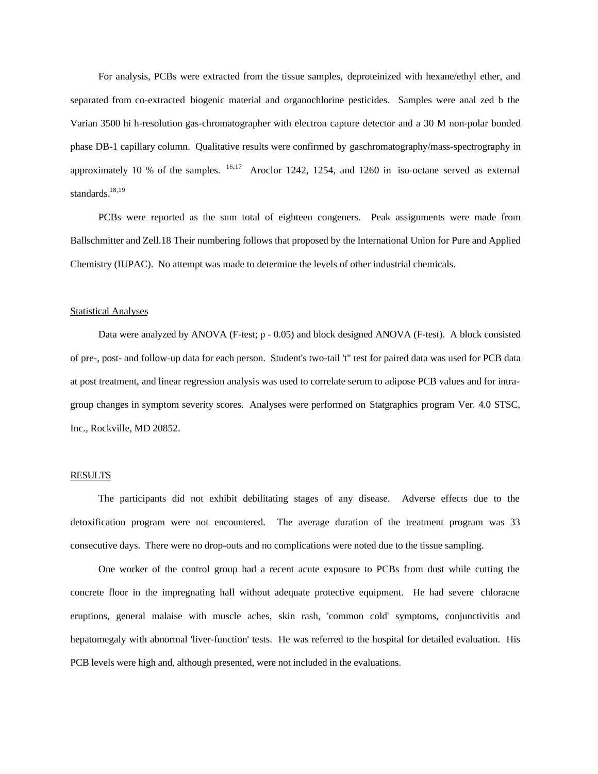For analysis, PCBs were extracted from the tissue samples, deproteinized with hexane/ethyl ether, and separated from co-extracted biogenic material and organochlorine pesticides. Samples were anal zed b the Varian 3500 hi h-resolution gas-chromatographer with electron capture detector and a 30 M non-polar bonded phase DB-1 capillary column. Qualitative results were confirmed by gaschromatography/mass-spectrography in approximately 10 % of the samples.  $16,17$  Aroclor 1242, 1254, and 1260 in iso-octane served as external standards.<sup>18,19</sup>

PCBs were reported as the sum total of eighteen congeners. Peak assignments were made from Ballschmitter and Zell.18 Their numbering follows that proposed by the International Union for Pure and Applied Chemistry (IUPAC). No attempt was made to determine the levels of other industrial chemicals.

#### **Statistical Analyses**

Data were analyzed by ANOVA (F-test; p - 0.05) and block designed ANOVA (F-test). A block consisted of pre-, post- and follow-up data for each person. Student's two-tail 't" test for paired data was used for PCB data at post treatment, and linear regression analysis was used to correlate serum to adipose PCB values and for intragroup changes in symptom severity scores. Analyses were performed on Statgraphics program Ver. 4.0 STSC, Inc., Rockville, MD 20852.

#### RESULTS

The participants did not exhibit debilitating stages of any disease. Adverse effects due to the detoxification program were not encountered. The average duration of the treatment program was 33 consecutive days. There were no drop-outs and no complications were noted due to the tissue sampling.

One worker of the control group had a recent acute exposure to PCBs from dust while cutting the concrete floor in the impregnating hall without adequate protective equipment. He had severe chloracne eruptions, general malaise with muscle aches, skin rash, 'common cold' symptoms, conjunctivitis and hepatomegaly with abnormal 'liver-function' tests. He was referred to the hospital for detailed evaluation. His PCB levels were high and, although presented, were not included in the evaluations.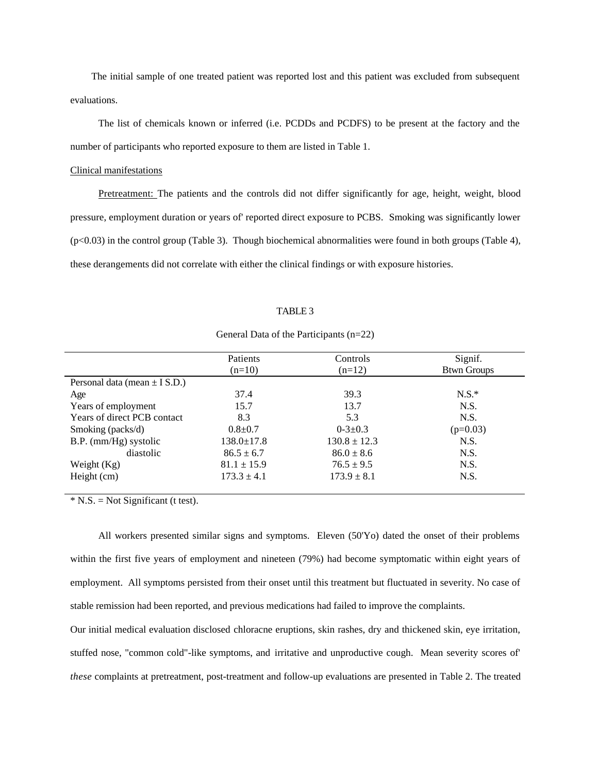The initial sample of one treated patient was reported lost and this patient was excluded from subsequent evaluations.

The list of chemicals known or inferred (i.e. PCDDs and PCDFS) to be present at the factory and the number of participants who reported exposure to them are listed in Table 1.

#### Clinical manifestations

Pretreatment: The patients and the controls did not differ significantly for age, height, weight, blood pressure, employment duration or years of' reported direct exposure to PCBS. Smoking was significantly lower (p<0.03) in the control group (Table 3). Though biochemical abnormalities were found in both groups (Table 4), these derangements did not correlate with either the clinical findings or with exposure histories.

#### TABLE 3

|                                   | Patients         | Controls         | Signif.             |
|-----------------------------------|------------------|------------------|---------------------|
|                                   |                  |                  |                     |
|                                   | $(n=10)$         | $(n=12)$         | <b>B</b> twn Groups |
| Personal data (mean $\pm$ I S.D.) |                  |                  |                     |
| Age                               | 37.4             | 39.3             | $N.S.*$             |
| Years of employment               | 15.7             | 13.7             | N.S.                |
| Years of direct PCB contact       | 8.3              | 5.3              | N.S.                |
| Smoking (packs/d)                 | $0.8 \pm 0.7$    | $0 - 3 \pm 0.3$  | $(p=0.03)$          |
| B.P. (mm/Hg) systolic             | $138.0 \pm 17.8$ | $130.8 \pm 12.3$ | N.S.                |
| diastolic                         | $86.5 \pm 6.7$   | $86.0 \pm 8.6$   | N.S.                |
| Weight $(Kg)$                     | $81.1 \pm 15.9$  | $76.5 \pm 9.5$   | N.S.                |
| Height (cm)                       | $173.3 \pm 4.1$  | $173.9 \pm 8.1$  | N.S.                |
|                                   |                  |                  |                     |

General Data of the Participants (n=22)

 $*$  N.S. = Not Significant (t test).

All workers presented similar signs and symptoms. Eleven (50'Yo) dated the onset of their problems within the first five years of employment and nineteen (79%) had become symptomatic within eight years of employment. All symptoms persisted from their onset until this treatment but fluctuated in severity. No case of stable remission had been reported, and previous medications had failed to improve the complaints.

Our initial medical evaluation disclosed chloracne eruptions, skin rashes, dry and thickened skin, eye irritation, stuffed nose, "common cold"-like symptoms, and irritative and unproductive cough. Mean severity scores of' *these* complaints at pretreatment, post-treatment and follow-up evaluations are presented in Table 2. The treated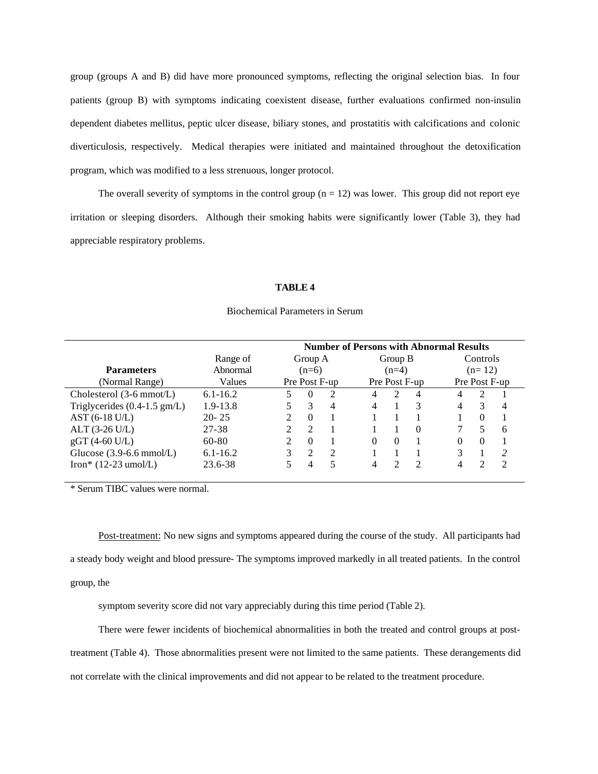group (groups A and B) did have more pronounced symptoms, reflecting the original selection bias. In four patients (group B) with symptoms indicating coexistent disease, further evaluations confirmed non-insulin dependent diabetes mellitus, peptic ulcer disease, biliary stones, and prostatitis with calcifications and colonic diverticulosis, respectively. Medical therapies were initiated and maintained throughout the detoxification program, which was modified to a less strenuous, longer protocol.

The overall severity of symptoms in the control group  $(n = 12)$  was lower. This group did not report eye irritation or sleeping disorders. Although their smoking habits were significantly lower (Table 3), they had appreciable respiratory problems.

### **TABLE 4**

#### **Number of Persons with Abnormal Results Parameters** (Normal Range) Range of Abnormal Values Group A  $(n=6)$ Pre Post F-up Group B  $(n=4)$ Pre Post F-up Controls  $(n= 12)$ Pre Post F-up Cholesterol (3-6 mmot/L) 6.1-16.2 5 0 2 4 2 4 4 2 1 Triglycerides (0.4-1.5 gm/L) 1.9-13.8 5 3 4 4 1 3 4 3 4 AST (6-18 U/L) 20-25 2 0 1 1 1 1 1 0 1 ALT (3-26 U/L) 27-38 2 2 1 1 1 0 7 5 6<br>gGT (4-60 U/L) 60-80 2 0 1 0 0 1 0 0 1 gGT (4-60 U/L) 60-80 2 0 1 0 0 1 0 0 1 Glucose (3.9-6.6 mmol/L) 6.1-16.2 3 2 2 1 1 1 3 1 2  $\text{Iron*} \ (12-23 \text{ umol/L})$  23.6-38 5 4 5 4 2 2 4 2 2

#### Biochemical Parameters in Serum

\* Serum TIBC values were normal.

Post-treatment: No new signs and symptoms appeared during the course of the study. All participants had a steady body weight and blood pressure- The symptoms improved markedly in all treated patients. In the control group, the

symptom severity score did not vary appreciably during this time period (Table 2).

There were fewer incidents of biochemical abnormalities in both the treated and control groups at posttreatment (Table 4). Those abnormalities present were not limited to the same patients. These derangements did not correlate with the clinical improvements and did not appear to be related to the treatment procedure.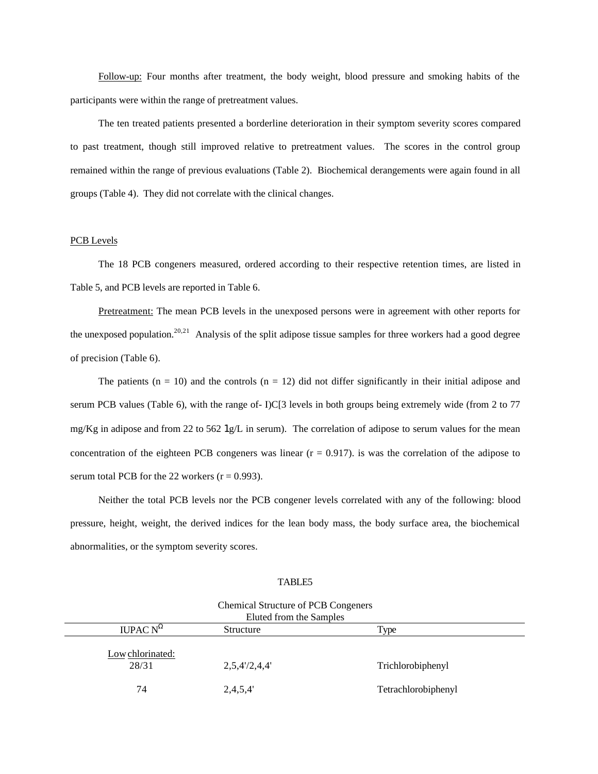Follow-up: Four months after treatment, the body weight, blood pressure and smoking habits of the participants were within the range of pretreatment values.

The ten treated patients presented a borderline deterioration in their symptom severity scores compared to past treatment, though still improved relative to pretreatment values. The scores in the control group remained within the range of previous evaluations (Table 2). Biochemical derangements were again found in all groups (Table 4). They did not correlate with the clinical changes.

# PCB Levels

The 18 PCB congeners measured, ordered according to their respective retention times, are listed in Table 5, and PCB levels are reported in Table 6.

Pretreatment: The mean PCB levels in the unexposed persons were in agreement with other reports for the unexposed population.<sup>20,21</sup> Analysis of the split adipose tissue samples for three workers had a good degree of precision (Table 6).

The patients  $(n = 10)$  and the controls  $(n = 12)$  did not differ significantly in their initial adipose and serum PCB values (Table 6), with the range of- I)C[3 levels in both groups being extremely wide (from 2 to 77 mg/Kg in adipose and from 22 to 562 1g/L in serum). The correlation of adipose to serum values for the mean concentration of the eighteen PCB congeners was linear  $(r = 0.917)$  is was the correlation of the adipose to serum total PCB for the 22 workers  $(r = 0.993)$ .

Neither the total PCB levels nor the PCB congener levels correlated with any of the following: blood pressure, height, weight, the derived indices for the lean body mass, the body surface area, the biochemical abnormalities, or the symptom severity scores.

#### TABLE5

# Chemical Structure of PCB Congeners Eluted from the Samples

| <b>IUPAC</b> $N^{\Omega}$ | Structure     | Type                |  |
|---------------------------|---------------|---------------------|--|
| Low chlorinated:<br>28/31 | 2,5,4'/2,4,4' | Trichlorobiphenyl   |  |
| 74                        | 2,4,5,4'      | Tetrachlorobiphenyl |  |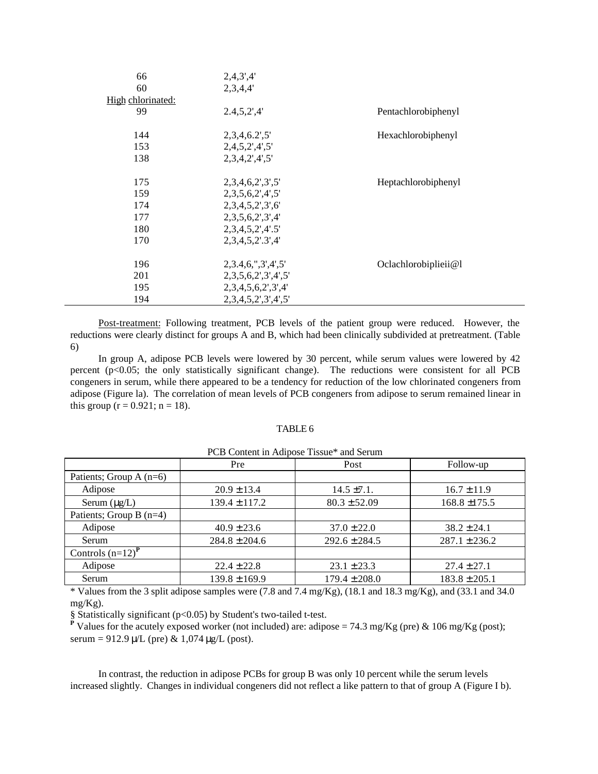| 66                | 2,4,3',4'           |                      |
|-------------------|---------------------|----------------------|
| 60                | 2,3,4,4'            |                      |
| High chlorinated: |                     |                      |
| 99                | 2.4, 5.2', 4'       | Pentachlorobiphenyl  |
| 144               | 2,3,4,6,2',5'       | Hexachlorobiphenyl   |
| 153               | 2,4,5,2',4',5'      |                      |
| 138               | $2.3.4.2'$ .4'.5'   |                      |
|                   |                     |                      |
| 175               | 2,3,4,6,2',3',5'    | Heptachlorobiphenyl  |
| 159               | 2,3,5,6,2',4',5'    |                      |
| 174               | 2,3,4,5,2',3',6'    |                      |
| 177               | 2,3,5,6,2',3',4'    |                      |
| 180               | 2,3,4,5,2',4'.5'    |                      |
| 170               | 2,3,4,5,2',3',4'    |                      |
| 196               | 2,3.4,6,"3',4',5'   | Oclachlorobiplieii@1 |
| 201               | 2,3,5,6,2',3',4',5' |                      |
| 195               | 2,3,4,5,6,2',3',4'  |                      |
| 194               | 2,3,4,5,2',3',4',5' |                      |

Post-treatment: Following treatment, PCB levels of the patient group were reduced. However, the reductions were clearly distinct for groups A and B, which had been clinically subdivided at pretreatment. (Table 6)

In group A, adipose PCB levels were lowered by 30 percent, while serum values were lowered by 42 percent (p<0.05; the only statistically significant change). The reductions were consistent for all PCB congeners in serum, while there appeared to be a tendency for reduction of the low chlorinated congeners from adipose (Figure la). The correlation of mean levels of PCB congeners from adipose to serum remained linear in this group ( $r = 0.921$ ;  $n = 18$ ).

# TABLE 6

|                           | Pre               | Post              | Follow-up         |
|---------------------------|-------------------|-------------------|-------------------|
| Patients; Group A $(n=6)$ |                   |                   |                   |
| Adipose                   | $20.9 \pm 13.4$   | $14.5 \pm 7.1$ .  | $16.7 \pm 11.9$   |
| Serum $(\mu g/L)$         | $139.4 \pm 117.2$ | $80.3 \pm 52.09$  | $168.8 \pm 175.5$ |
| Patients; Group B $(n=4)$ |                   |                   |                   |
| Adipose                   | $40.9 \pm 23.6$   | $37.0 \pm 22.0$   | $38.2 \pm 24.1$   |
| Serum                     | $284.8 \pm 204.6$ | $292.6 \pm 284.5$ | $287.1 \pm 236.2$ |
| Controls $(n=12)^P$       |                   |                   |                   |
| Adipose                   | $22.4 \pm 22.8$   | $23.1 \pm 23.3$   | $27.4 \pm 27.1$   |
| Serum                     | $139.8 \pm 169.9$ | $179.4 \pm 208.0$ | $183.8 \pm 205.1$ |
|                           |                   |                   |                   |

PCB Content in Adipose Tissue\* and Serum

\* Values from the 3 split adipose samples were (7.8 and 7.4 mg/Kg), (18.1 and 18.3 mg/Kg), and (33.1 and 34.0 mg/Kg).

§ Statistically significant (p<0.05) by Student's two-tailed t-test.<br><sup>P</sup> Values for the acutely exposed worker (not included) are: adipose = 74.3 mg/Kg (pre) & 106 mg/Kg (post); serum = 912.9  $\mu$ L (pre) & 1,074  $\mu$ g/L (post).

In contrast, the reduction in adipose PCBs for group B was only 10 percent while the serum levels increased slightly. Changes in individual congeners did not reflect a like pattern to that of group A (Figure I b).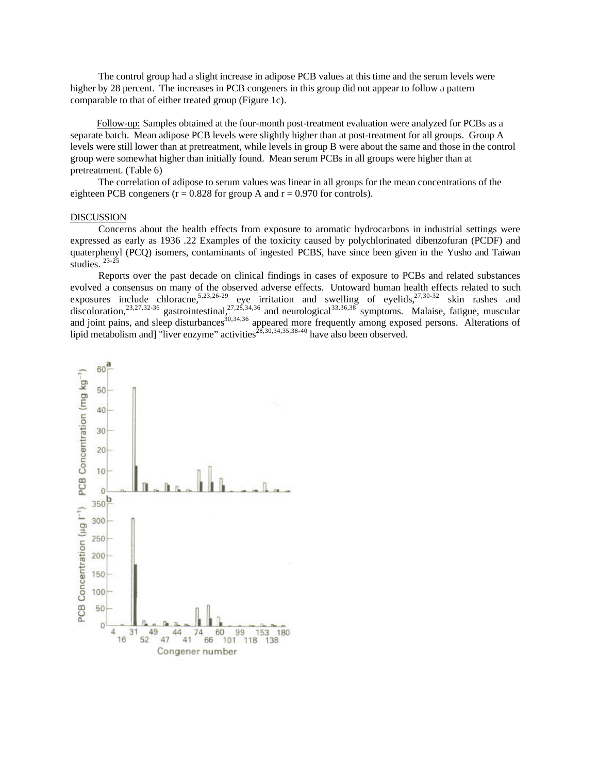The control group had a slight increase in adipose PCB values at this time and the serum levels were higher by 28 percent. The increases in PCB congeners in this group did not appear to follow a pattern comparable to that of either treated group (Figure 1c).

Follow-up: Samples obtained at the four-month post-treatment evaluation were analyzed for PCBs as a separate batch. Mean adipose PCB levels were slightly higher than at post-treatment for all groups. Group A levels were still lower than at pretreatment, while levels in group B were about the same and those in the control group were somewhat higher than initially found. Mean serum PCBs in all groups were higher than at pretreatment. (Table 6)

The correlation of adipose to serum values was linear in all groups for the mean concentrations of the eighteen PCB congeners ( $r = 0.828$  for group A and  $r = 0.970$  for controls).

#### DISCUSSION

Concerns about the health effects from exposure to aromatic hydrocarbons in industrial settings were expressed as early as 1936 .22 Examples of the toxicity caused by polychlorinated dibenzofuran (PCDF) and quaterphenyl (PCQ) isomers, contaminants of ingested PCBS, have since been given in the Yusho and Taiwan studies. 23-25

Reports over the past decade on clinical findings in cases of exposure to PCBs and related substances evolved a consensus on many of the observed adverse effects. Untoward human health effects related to such exposures include chloracne,<sup>5,23,26-29</sup> eye irritation and swelling of eyelids,<sup>27,30-32</sup> skin rashes and discoloration,<sup>23,27,32-36</sup> gastrointestinal,<sup>27,28,34,36</sup> and neurological<sup>33,36,38</sup> symptoms. Malaise, fatigue, muscular and joint pains, and sleep disturbances<sup>30,34,36</sup> appeared more frequently among exposed persons. Alterations of lipid metabolism and] "liver enzyme" activities<sup>28,30,34,35,38-40</sup> have also been observed.

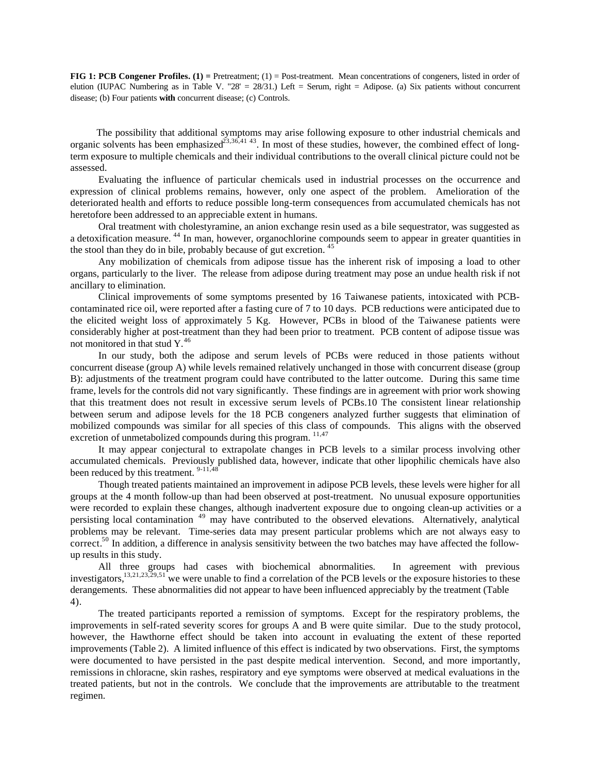**FIG 1: PCB Congener Profiles. (1) =** Pretreatment; (1) = Post-treatment. Mean concentrations of congeners, listed in order of elution (IUPAC Numbering as in Table V. "28' = 28/31.) Left = Serum, right = Adipose. (a) Six patients without concurrent disease; (b) Four patients **with** concurrent disease; (c) Controls.

The possibility that additional symptoms may arise following exposure to other industrial chemicals and organic solvents has been emphasized<sup>23,36,41</sup><sup>43</sup>. In most of these studies, however, the combined effect of longterm exposure to multiple chemicals and their individual contributions to the overall clinical picture could not be assessed.

Evaluating the influence of particular chemicals used in industrial processes on the occurrence and expression of clinical problems remains, however, only one aspect of the problem. Amelioration of the deteriorated health and efforts to reduce possible long-term consequences from accumulated chemicals has not heretofore been addressed to an appreciable extent in humans.

Oral treatment with cholestyramine, an anion exchange resin used as a bile sequestrator, was suggested as a detoxification measure. <sup>44</sup> In man, however, organochlorine compounds seem to appear in greater quantities in the stool than they do in bile, probably because of gut excretion. <sup>45</sup>

Any mobilization of chemicals from adipose tissue has the inherent risk of imposing a load to other organs, particularly to the liver. The release from adipose during treatment may pose an undue health risk if not ancillary to elimination.

Clinical improvements of some symptoms presented by 16 Taiwanese patients, intoxicated with PCBcontaminated rice oil, were reported after a fasting cure of 7 to 10 days. PCB reductions were anticipated due to the elicited weight loss of approximately 5 Kg. However, PCBs in blood of the Taiwanese patients were considerably higher at post-treatment than they had been prior to treatment. PCB content of adipose tissue was not monitored in that stud  $Y<sup>46</sup>$ .

In our study, both the adipose and serum levels of PCBs were reduced in those patients without concurrent disease (group A) while levels remained relatively unchanged in those with concurrent disease (group B): adjustments of the treatment program could have contributed to the latter outcome. During this same time frame, levels for the controls did not vary significantly. These findings are in agreement with prior work showing that this treatment does not result in excessive serum levels of PCBs.10 The consistent linear relationship between serum and adipose levels for the 18 PCB congeners analyzed further suggests that elimination of mobilized compounds was similar for all species of this class of compounds. This aligns with the observed excretion of unmetabolized compounds during this program.  $11,47$ 

It may appear conjectural to extrapolate changes in PCB levels to a similar process involving other accumulated chemicals. Previously published data, however, indicate that other lipophilic chemicals have also been reduced by this treatment.  $9-11,48$ 

Though treated patients maintained an improvement in adipose PCB levels, these levels were higher for all groups at the 4 month follow-up than had been observed at post-treatment. No unusual exposure opportunities were recorded to explain these changes, although inadvertent exposure due to ongoing clean-up activities or a persisting local contamination <sup>49</sup> may have contributed to the observed elevations. Alternatively, analytical problems may be relevant. Time-series data may present particular problems which are not always easy to correct.<sup>50</sup> In addition, a difference in analysis sensitivity between the two batches may have affected the followup results in this study.

All three groups had cases with biochemical abnormalities. In agreement with previous investigators,<sup>13,21,23,29,51</sup> we were unable to find a correlation of the PCB levels or the exposure histories to these derangements. These abnormalities did not appear to have been influenced appreciably by the treatment (Table 4).

The treated participants reported a remission of symptoms. Except for the respiratory problems, the improvements in self-rated severity scores for groups A and B were quite similar. Due to the study protocol, however, the Hawthorne effect should be taken into account in evaluating the extent of these reported improvements (Table 2). A limited influence of this effect is indicated by two observations. First, the symptoms were documented to have persisted in the past despite medical intervention. Second, and more importantly, remissions in chloracne, skin rashes, respiratory and eye symptoms were observed at medical evaluations in the treated patients, but not in the controls. We conclude that the improvements are attributable to the treatment regimen.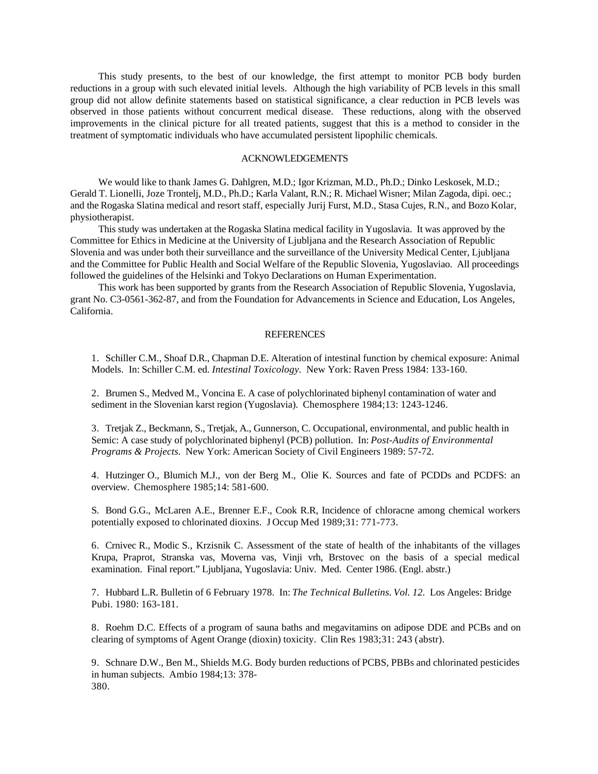This study presents, to the best of our knowledge, the first attempt to monitor PCB body burden reductions in a group with such elevated initial levels. Although the high variability of PCB levels in this small group did not allow definite statements based on statistical significance, a clear reduction in PCB levels was observed in those patients without concurrent medical disease. These reductions, along with the observed improvements in the clinical picture for all treated patients, suggest that this is a method to consider in the treatment of symptomatic individuals who have accumulated persistent lipophilic chemicals.

# ACKNOWLEDGEMENTS

We would like to thank James G. Dahlgren, M.D.; Igor Krizman, M.D., Ph.D.; Dinko Leskosek, M.D.; Gerald T. Lionelli, Joze Trontelj, M.D., Ph.D.; Karla Valant, R.N.; R. Michael Wisner; Milan Zagoda, dipi. oec.; and the Rogaska Slatina medical and resort staff, especially Jurij Furst, M.D., Stasa Cujes, R.N., and Bozo Kolar, physiotherapist.

This study was undertaken at the Rogaska Slatina medical facility in Yugoslavia. It was approved by the Committee for Ethics in Medicine at the University of Ljubljana and the Research Association of Republic Slovenia and was under both their surveillance and the surveillance of the University Medical Center, Ljubljana and the Committee for Public Health and Social Welfare of the Republic Slovenia, Yugoslaviao. All proceedings followed the guidelines of the Helsinki and Tokyo Declarations on Human Experimentation.

This work has been supported by grants from the Research Association of Republic Slovenia, Yugoslavia, grant No. C3-0561-362-87, and from the Foundation for Advancements in Science and Education, Los Angeles, California.

#### REFERENCES

1. Schiller C.M., Shoaf D.R., Chapman D.E. Alteration of intestinal function by chemical exposure: Animal Models. In: Schiller C.M. ed. *Intestinal Toxicology.* New York: Raven Press 1984: 133-160.

2. Brumen S., Medved M., Voncina E. A case of polychlorinated biphenyl contamination of water and sediment in the Slovenian karst region (Yugoslavia). Chemosphere 1984;13: 1243-1246.

3. Tretjak Z., Beckmann, S., Tretjak, A., Gunnerson, C. Occupational, environmental, and public health in Semic: A case study of polychlorinated biphenyl (PCB) pollution. In: *Post-Audits of Environmental Programs & Projects.* New York: American Society of Civil Engineers 1989: 57-72.

4. Hutzinger O., Blumich M.J., von der Berg M., Olie K. Sources and fate of PCDDs and PCDFS: an overview. Chemosphere 1985;14: 581-600.

S. Bond G.G., McLaren A.E., Brenner E.F., Cook R.R, Incidence of chloracne among chemical workers potentially exposed to chlorinated dioxins. J Occup Med 1989;31: 771-773.

6. Crnivec R., Modic S., Krzisnik C. Assessment of the state of health of the inhabitants of the villages Krupa, Praprot, Stranska vas, Moverna vas, Vinji vrh, Brstovec on the basis of a special medical examination. Final report." Ljubljana, Yugoslavia: Univ. Med. Center 1986. (Engl. abstr.)

7. Hubbard L.R. Bulletin of 6 February 1978. In: *The Technical Bulletins. Vol. 12.* Los Angeles: Bridge Pubi. 1980: 163-181.

8. Roehm D.C. Effects of a program of sauna baths and megavitamins on adipose DDE and PCBs and on clearing of symptoms of Agent Orange (dioxin) toxicity. Clin Res 1983;31: 243 (abstr).

9. Schnare D.W., Ben M., Shields M.G. Body burden reductions of PCBS, PBBs and chlorinated pesticides in human subjects. Ambio 1984;13: 378- 380.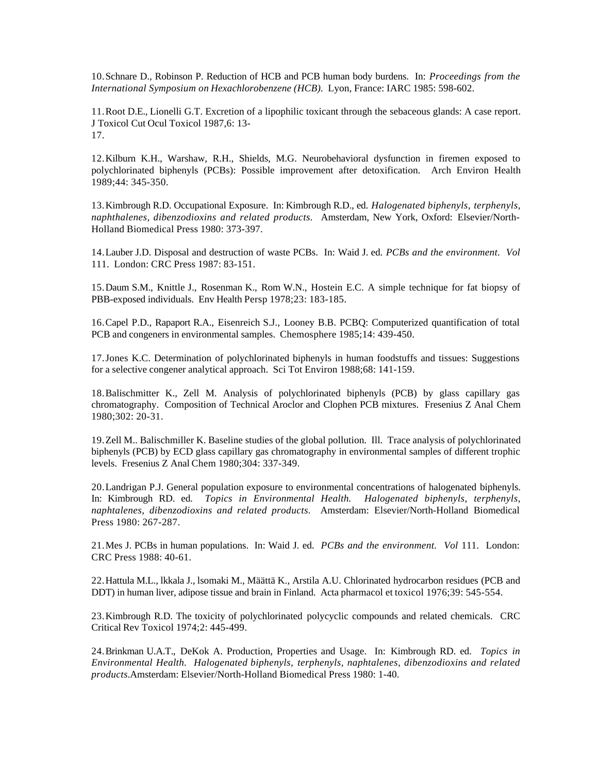10.Schnare D., Robinson P. Reduction of HCB and PCB human body burdens. In: *Proceedings from the International Symposium on Hexachlorobenzene (HCB).* Lyon, France: IARC 1985: 598-602.

11.Root D.E., Lionelli G.T. Excretion of a lipophilic toxicant through the sebaceous glands: A case report. J Toxicol Cut Ocul Toxicol 1987,6: 13- 17.

12.Kilburn K.H., Warshaw, R.H., Shields, M.G. Neurobehavioral dysfunction in firemen exposed to polychlorinated biphenyls (PCBs): Possible improvement after detoxification. Arch Environ Health 1989;44: 345-350.

13.Kimbrough R.D. Occupational Exposure. In: Kimbrough R.D., ed. *Halogenated biphenyls, terphenyls, naphthalenes, dibenzodioxins and related products.* Amsterdam, New York, Oxford: Elsevier/North-Holland Biomedical Press 1980: 373-397.

14.Lauber J.D. Disposal and destruction of waste PCBs. In: Waid J. ed. *PCBs and the environment. Vol* 111. London: CRC Press 1987: 83-151.

15.Daum S.M., Knittle J., Rosenman K., Rom W.N., Hostein E.C. A simple technique for fat biopsy of PBB-exposed individuals. Env Health Persp 1978;23: 183-185.

16.Capel P.D., Rapaport R.A., Eisenreich S.J., Looney B.B. PCBQ: Computerized quantification of total PCB and congeners in environmental samples. Chemosphere 1985;14: 439-450.

17.Jones K.C. Determination of polychlorinated biphenyls in human foodstuffs and tissues: Suggestions for a selective congener analytical approach. Sci Tot Environ 1988;68: 141-159.

18.Balischmitter K., Zell M. Analysis of polychlorinated biphenyls (PCB) by glass capillary gas chromatography. Composition of Technical Aroclor and Clophen PCB mixtures. Fresenius Z Anal Chem 1980;302: 20-31.

19.Zell M.. Balischmiller K. Baseline studies of the global pollution. Ill. Trace analysis of polychlorinated biphenyls (PCB) by ECD glass capillary gas chromatography in environmental samples of different trophic levels. Fresenius Z Anal Chem 1980;304: 337-349.

20.Landrigan P.J. General population exposure to environmental concentrations of halogenated biphenyls. In: Kimbrough RD. ed. *Topics in Environmental Health. Halogenated biphenyls, terphenyls, naphtalenes, dibenzodioxins and related products.* Amsterdam: Elsevier/North-Holland Biomedical Press 1980: 267-287.

21.Mes J. PCBs in human populations. In: Waid J. ed. *PCBs and the environment. Vol* 111. London: CRC Press 1988: 40-61.

22.Hattula M.L., lkkala J., lsomaki M., Määttä K., Arstila A.U. Chlorinated hydrocarbon residues (PCB and DDT) in human liver, adipose tissue and brain in Finland. Acta pharmacol et toxicol 1976;39: 545-554.

23.Kimbrough R.D. The toxicity of polychlorinated polycyclic compounds and related chemicals. CRC Critical Rev Toxicol 1974;2: 445-499.

24.Brinkman U.A.T., DeKok A. Production, Properties and Usage. In: Kimbrough RD. ed. *Topics in Environmental Health. Halogenated biphenyls, terphenyls, naphtalenes, dibenzodioxins and related products.*Amsterdam: Elsevier/North-Holland Biomedical Press 1980: 1-40.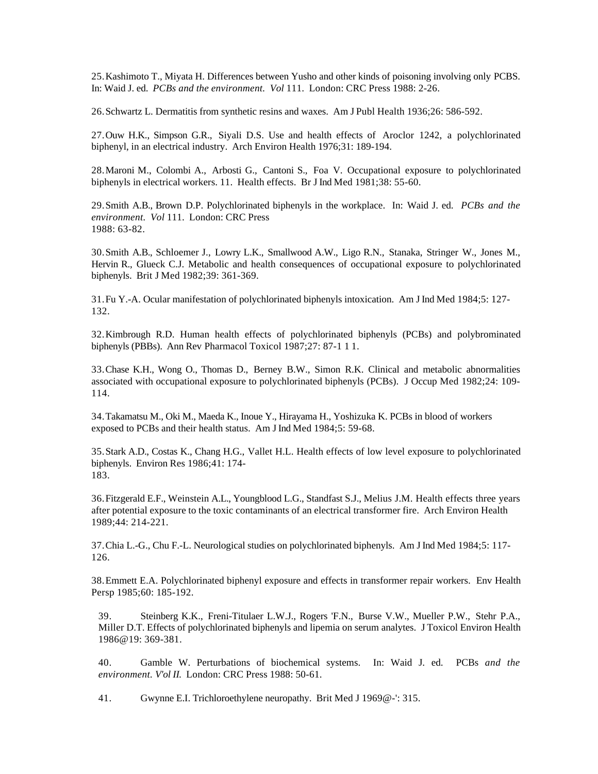25.Kashimoto T., Miyata H. Differences between Yusho and other kinds of poisoning involving only PCBS. In: Waid J. ed. *PCBs and the environment. Vol* 111. London: CRC Press 1988: 2-26.

26.Schwartz L. Dermatitis from synthetic resins and waxes. Am J Publ Health 1936;26: 586-592.

27.Ouw H.K., Simpson G.R., Siyali D.S. Use and health effects of Aroclor 1242, a polychlorinated biphenyl, in an electrical industry. Arch Environ Health 1976;31: 189-194.

28.Maroni M., Colombi A., Arbosti G., Cantoni S., Foa V. Occupational exposure to polychlorinated biphenyls in electrical workers. 11. Health effects. Br J Ind Med 1981;38: 55-60.

29.Smith A.B., Brown D.P. Polychlorinated biphenyls in the workplace. In: Waid J. ed. *PCBs and the environment. Vol* 111. London: CRC Press 1988: 63-82.

30.Smith A.B., Schloemer J., Lowry L.K., Smallwood A.W., Ligo R.N., Stanaka, Stringer W., Jones M., Hervin R., Glueck C.J. Metabolic and health consequences of occupational exposure to polychlorinated biphenyls. Brit J Med 1982;39: 361-369.

31.Fu Y.-A. Ocular manifestation of polychlorinated biphenyls intoxication. Am J Ind Med 1984;5: 127- 132.

32.Kimbrough R.D. Human health effects of polychlorinated biphenyls (PCBs) and polybrominated biphenyls (PBBs). Ann Rev Pharmacol Toxicol 1987;27: 87-1 1 1.

33.Chase K.H., Wong O., Thomas D., Berney B.W., Simon R.K. Clinical and metabolic abnormalities associated with occupational exposure to polychlorinated biphenyls (PCBs). J Occup Med 1982;24: 109- 114.

34.Takamatsu M., Oki M., Maeda K., Inoue Y., Hirayama H., Yoshizuka K. PCBs in blood of workers exposed to PCBs and their health status. Am J Ind Med 1984;5: 59-68.

35.Stark A.D., Costas K., Chang H.G., Vallet H.L. Health effects of low level exposure to polychlorinated biphenyls. Environ Res 1986;41: 174- 183.

36.Fitzgerald E.F., Weinstein A.L., Youngblood L.G., Standfast S.J., Melius J.M. Health effects three years after potential exposure to the toxic contaminants of an electrical transformer fire. Arch Environ Health 1989;44: 214-221.

37.Chia L.-G., Chu F.-L. Neurological studies on polychlorinated biphenyls. Am J Ind Med 1984;5: 117- 126.

38.Emmett E.A. Polychlorinated biphenyl exposure and effects in transformer repair workers. Env Health Persp 1985;60: 185-192.

39. Steinberg K.K., Freni-Titulaer L.W.J., Rogers 'F.N., Burse V.W., Mueller P.W., Stehr P.A., Miller D.T. Effects of polychlorinated biphenyls and lipemia on serum analytes. J Toxicol Environ Health 1986@19: 369-381.

40. Gamble W. Perturbations of biochemical systems. In: Waid J. ed. PCBs *and the environment. V'ol II.* London: CRC Press 1988: 50-61.

41. Gwynne E.I. Trichloroethylene neuropathy. Brit Med J 1969@-': 315.